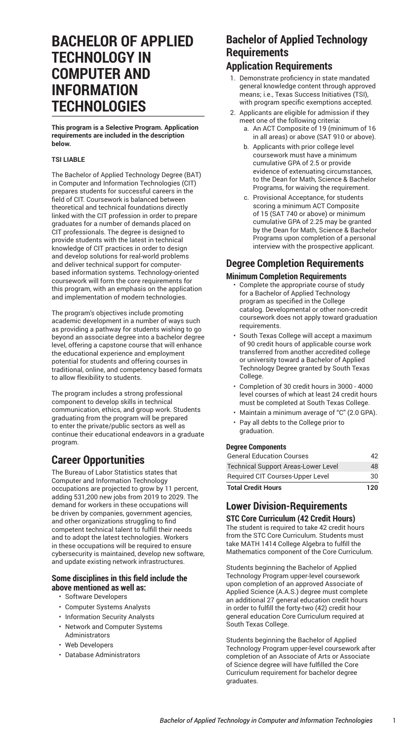# **BACHELOR OF APPLIED TECHNOLOGY IN COMPUTER AND INFORMATION TECHNOLOGIES**

**This program is a Selective Program. Application requirements are included in the description below.**

#### **TSI LIABLE**

The Bachelor of Applied Technology Degree (BAT) in Computer and Information Technologies (CIT) prepares students for successful careers in the field of CIT. Coursework is balanced between theoretical and technical foundations directly linked with the CIT profession in order to prepare graduates for a number of demands placed on CIT professionals. The degree is designed to provide students with the latest in technical knowledge of CIT practices in order to design and develop solutions for real-world problems and deliver technical support for computerbased information systems. Technology-oriented coursework will form the core requirements for this program, with an emphasis on the application and implementation of modern technologies.

The program's objectives include promoting academic development in a number of ways such as providing a pathway for students wishing to go beyond an associate degree into a bachelor degree level, offering a capstone course that will enhance the educational experience and employment potential for students and offering courses in traditional, online, and competency based formats to allow flexibility to students.

The program includes a strong professional component to develop skills in technical communication, ethics, and group work. Students graduating from the program will be prepared to enter the private/public sectors as well as continue their educational endeavors in a graduate program.

## **Career Opportunities**

The Bureau of Labor Statistics states that Computer and Information Technology occupations are projected to grow by 11 percent, adding 531,200 new jobs from 2019 to 2029. The demand for workers in these occupations will be driven by companies, government agencies, and other organizations struggling to find competent technical talent to fulfill their needs and to adopt the latest technologies. Workers in these occupations will be required to ensure cybersecurity is maintained, develop new software, and update existing network infrastructures.

#### **Some disciplines in this field include the above mentioned as well as:**

- Software Developers
- Computer Systems Analysts
- Information Security Analysts
- Network and Computer Systems Administrators
- Web Developers
- Database Administrators

## **Bachelor of Applied Technology Requirements**

## **Application Requirements**

- 1. Demonstrate proficiency in state mandated general knowledge content through approved means; i.e., Texas Success Initiatives (TSI), with program specific exemptions accepted.
- 2. Applicants are eligible for admission if they meet one of the following criteria:
	- a. An ACT Composite of 19 (minimum of 16 in all areas) or above (SAT 910 or above).
	- b. Applicants with prior college level coursework must have a minimum cumulative GPA of 2.5 or provide evidence of extenuating circumstances, to the Dean for Math, Science & Bachelor Programs, for waiving the requirement.
	- c. Provisional Acceptance, for students scoring a minimum ACT Composite of 15 (SAT 740 or above) or minimum cumulative GPA of 2.25 may be granted by the Dean for Math, Science & Bachelor Programs upon completion of a personal interview with the prospective applicant.

## **Degree Completion Requirements Minimum Completion Requirements**

- Complete the appropriate course of study for a Bachelor of Applied Technology program as specified in the College catalog. Developmental or other non-credit coursework does not apply toward graduation requirements.
- South Texas College will accept a maximum of 90 credit hours of applicable course work transferred from another accredited college or university toward a Bachelor of Applied Technology Degree granted by South Texas College.
- Completion of 30 credit hours in 3000 4000 level courses of which at least 24 credit hours must be completed at South Texas College.
- Maintain a minimum average of "C" (2.0 GPA).
- Pay all debts to the College prior to graduation.

#### **Degree Components**

| <b>Total Credit Hours</b>                  | 120 |
|--------------------------------------------|-----|
| Required CIT Courses-Upper Level           | 30  |
| <b>Technical Support Areas-Lower Level</b> | 48  |
| <b>General Education Courses</b>           | 42  |

# **Lower Division-Requirements**

**STC Core Curriculum (42 Credit Hours)** The student is required to take 42 credit hours from the STC Core [Curriculum.](http://catalog.southtexascollege.edu/curriculum/core-curriculum/) Students must take MATH 1414 College Algebra to fulfill the Mathematics component of the Core Curriculum.

Students beginning the Bachelor of Applied Technology Program upper-level coursework upon completion of an approved Associate of Applied Science (A.A.S.) degree must complete an additional 27 general education credit hours in order to fulfill the forty-two (42) credit hour general education Core Curriculum required at South Texas College.

Students beginning the Bachelor of Applied Technology Program upper-level coursework after completion of an Associate of Arts or Associate of Science degree will have fulfilled the Core Curriculum requirement for bachelor degree graduates.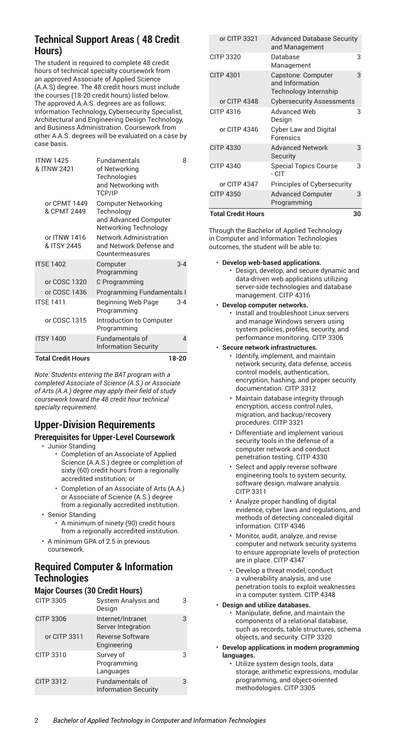## **Technical Support Areas ( 48 Credit Hours)**

The student is required to complete 48 credit hours of technical specialty coursework from an approved Associate of Applied Science (A.A.S) degree. The 48 credit hours must include the courses (18-20 credit hours) listed below. The approved A.A.S. degrees are as follows: Information Technology, Cybersecurity Specialist, Architectural and Engineering Design Technology, and Business Administration. Coursework from other A.A.S. degrees will be evaluated on a case by case basis.

| <b>ITNW 1425</b><br>& ITNW 2421 | Fundamentals<br>of Networking<br>Technologies<br>and Networking with<br>TCP/IP      | 8              |
|---------------------------------|-------------------------------------------------------------------------------------|----------------|
| or CPMT 1449<br>& CPMT 2449     | Computer Networking<br>Technology<br>and Advanced Computer<br>Networking Technology |                |
| or ITNW 1416<br>& ITSY 2445     | <b>Network Administration</b><br>and Network Defense and<br>Countermeasures         |                |
| <b>ITSE 1402</b>                | Computer<br>Programming                                                             | $3 - 4$        |
| or COSC 1320                    | C Programming                                                                       |                |
| or COSC 1436                    | Programming Fundamentals I                                                          |                |
| <b>ITSE 1411</b>                | Beginning Web Page<br>Programming                                                   | $3 - 4$        |
| or COSC 1315                    | Introduction to Computer<br>Programming                                             |                |
| <b>ITSY 1400</b>                | Fundamentals of<br><b>Information Security</b>                                      | $\overline{4}$ |
| <b>Total Credit Hours</b>       |                                                                                     | 18-20          |

*Note: Students entering the BAT program with a completed Associate of Science (A.S.) or Associate of Arts (A.A.) degree may apply their field of study coursework toward the 48 credit hour technical specialty requirement.*

## **Upper-Division Requirements**

## **Prerequisites for Upper-Level Coursework**

- Junior Standing
	- Completion of an Associate of Applied Science (A.A.S.) degree or completion of sixty (60) credit hours from a regionally accredited institution; or
	- Completion of an Associate of Arts (A.A.) or Associate of Science (A.S.) degree from a regionally accredited institution.
- Senior Standing
	- A minimum of ninety (90) credit hours from a regionally accredited institution.
- A minimum GPA of 2.5 in previous coursework.

## **Required Computer & Information Technologies**

## **Major Courses (30 Credit Hours)**

| CITP 3305        | System Analysis and<br>Design                  | З |
|------------------|------------------------------------------------|---|
| <b>CITP 3306</b> | Internet/Intranet<br>Server Integration        | 3 |
| or CITP 3311     | <b>Reverse Software</b><br>Engineering         |   |
| CITP 3310        | Survey of<br>Programming<br>Languages          |   |
| <b>CITP 3312</b> | Fundamentals of<br><b>Information Security</b> | 3 |

| <b>Total Credit Hours</b> |                                                                | 30 |
|---------------------------|----------------------------------------------------------------|----|
| <b>CITP 4350</b>          | <b>Advanced Computer</b><br>Programming                        | 3  |
| or CITP 4347              | Principles of Cybersecurity                                    |    |
| <b>CITP 4340</b>          | <b>Special Topics Course</b><br>- CIT                          | 3  |
| <b>CITP 4330</b>          | <b>Advanced Network</b><br>Security                            | 3  |
| or CITP 4346              | <b>Cyber Law and Digital</b><br>Forensics                      |    |
| CITP 4316                 | Advanced Web<br>Design                                         | 3  |
| or CITP 4348              | <b>Cybersecurity Assessments</b>                               |    |
| <b>CITP 4301</b>          | Capstone: Computer<br>and Information<br>Technology Internship | 3  |
| CITP 3320                 | Database<br>3<br>Management                                    |    |
| or CITP 3321              | <b>Advanced Database Security</b><br>and Management            |    |

Through the Bachelor of Applied Technology in Computer and Information Technologies outcomes, the student will be able to:

- **Develop web-based applications.**
	- Design, develop, and secure dynamic and data-driven web applications utilizing server-side technologies and database management. CITP 4316
- **Develop computer networks.**
	- Install and troubleshoot Linux servers and manage Windows servers using system policies, profiles, security, and performance monitoring. CITP 3306
- **Secure network infrastructures.**
	- Identify, implement, and maintain network security, data defense, access control models, authentication, encryption, hashing, and proper security documentation. CITP 3312
	- Maintain database integrity through encryption, access control rules, migration, and backup/recovery procedures. CITP 3321
	- Differentiate and implement various security tools in the defense of a computer network and conduct penetration testing. CITP 4330
	- Select and apply reverse software engineering tools to system security, software design, malware analysis. CITP 3311
	- Analyze proper handling of digital evidence, cyber laws and regulations, and methods of detecting concealed digital information. CITP 4346
	- Monitor, audit, analyze, and revise computer and network security systems to ensure appropriate levels of protection are in place. CITP 4347
	- Develop a threat model, conduct a vulnerability analysis, and use penetration tools to exploit weaknesses in a computer system. CITP 4348
- **Design and utilize databases.** • Manipulate, define, and maintain the components of a relational database, such as records, table structures, schema objects, and security. CITP 3320
- **Develop applications in modern programming languages.**
	- Utilize system design tools, data storage, arithmetic expressions, modular programming, and object-oriented methodologies. CITP 3305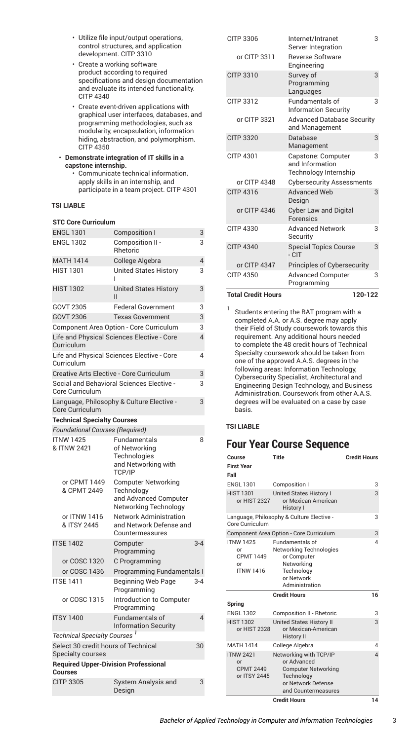- Utilize file input/output operations, control structures, and application development. CITP 3310
- Create a working software product according to required specifications and design documentation and evaluate its intended functionality. CITP 4340
- Create event-driven applications with graphical user interfaces, databases, and programming methodologies, such as modularity, encapsulation, information hiding, abstraction, and polymorphism. CITP 4350
- **Demonstrate integration of IT skills in a capstone internship.**
	- Communicate technical information, apply skills in an internship, and participate in a team project. CITP 4301

## **TSI LIABLE**

#### **STC Core Curriculum**

| <b>ENGL 1301</b>                                                | <b>Composition I</b>                                                                       | 3              |
|-----------------------------------------------------------------|--------------------------------------------------------------------------------------------|----------------|
| <b>ENGL 1302</b>                                                | Composition II -<br>Rhetoric                                                               |                |
| <b>MATH 1414</b>                                                | College Algebra                                                                            | 4              |
| <b>HIST 1301</b>                                                | <b>United States History</b>                                                               | 3              |
| <b>HIST 1302</b>                                                | <b>United States History</b><br>$\mathsf{II}$                                              | 3              |
| GOVT 2305                                                       | <b>Federal Government</b>                                                                  | 3              |
| <b>GOVT 2306</b>                                                | <b>Texas Government</b>                                                                    | 3              |
|                                                                 | Component Area Option - Core Curriculum                                                    | 3              |
| Curriculum                                                      | Life and Physical Sciences Elective - Core                                                 | 4              |
| Curriculum                                                      | Life and Physical Sciences Elective - Core                                                 | 4              |
| Creative Arts Elective - Core Curriculum                        |                                                                                            | 3              |
| Social and Behavioral Sciences Elective -<br>Core Curriculum    |                                                                                            |                |
| Core Curriculum                                                 | Language, Philosophy & Culture Elective -                                                  | 3              |
| <b>Technical Specialty Courses</b>                              |                                                                                            |                |
| <b>Foundational Courses (Required)</b>                          |                                                                                            |                |
| <b>ITNW 1425</b><br>& ITNW 2421                                 | Fundamentals<br>of Networking<br>Technologies<br>and Networking with<br>TCP/IP             | 8              |
| or CPMT 1449<br>& CPMT 2449                                     | <b>Computer Networking</b><br>Technology<br>and Advanced Computer<br>Networking Technology |                |
| or ITNW 1416<br>& ITSY 2445                                     | <b>Network Administration</b><br>and Network Defense and<br>Countermeasures                |                |
| <b>ITSE 1402</b>                                                | Computer<br>Programming                                                                    | $3 - 4$        |
| or COSC 1320                                                    | C Programming                                                                              |                |
| or COSC 1436                                                    | Programming Fundamentals I                                                                 |                |
| <b>ITSE 1411</b>                                                | <b>Beginning Web Page</b><br>Programming                                                   | $3 - 4$        |
| or COSC 1315                                                    | Introduction to Computer<br>Programming                                                    |                |
| <b>ITSY 1400</b>                                                | <b>Fundamentals of</b><br><b>Information Security</b>                                      | $\overline{4}$ |
| Technical Specialty Courses <sup>1</sup>                        |                                                                                            |                |
| Select 30 credit hours of Technical<br><b>Specialty courses</b> |                                                                                            | 30             |
| <b>Required Upper-Division Professional</b><br>Courses          |                                                                                            |                |
| <b>CITP 3305</b>                                                | System Analysis and<br>Design                                                              | 3              |

| CITP 3312                 | Languages<br>Fundamentals of                                   | 3 |
|---------------------------|----------------------------------------------------------------|---|
| or CITP 3321              | <b>Information Security</b>                                    |   |
|                           | <b>Advanced Database Security</b><br>and Management            |   |
| <b>CITP 3320</b>          | Database<br>Management                                         | 3 |
| CITP 4301                 | Capstone: Computer<br>and Information<br>Technology Internship | 3 |
| or CITP 4348              | <b>Cybersecurity Assessments</b>                               |   |
| CITP 4316                 | <b>Advanced Web</b><br>Design                                  | 3 |
| or CITP 4346              | <b>Cyber Law and Digital</b><br>Forensics                      |   |
| CITP 4330                 | <b>Advanced Network</b><br>Security                            | 3 |
| <b>CITP 4340</b>          | <b>Special Topics Course</b><br>$ CIT$                         | 3 |
| or CITP 4347              | Principles of Cybersecurity                                    |   |
| CITP 4350                 | <b>Advanced Computer</b><br>Programming                        | 3 |
| <b>Total Credit Hours</b> | 120-122                                                        |   |

1 Students entering the BAT program with a completed A.A. or A.S. degree may apply their Field of Study coursework towards this requirement. Any additional hours needed to complete the 48 credit hours of Technical Specialty coursework should be taken from one of the approved A.A.S. degrees in the following areas: Information Technology, Cybersecurity Specialist, Architectural and Engineering Design Technology, and Business Administration. Coursework from other A.A.S. degrees will be evaluated on a case by case basis.

#### **TSI LIABLE**

## **Four Year Course Sequence**

| Course                                                              | <b>Title</b>                                                                                                                   | <b>Credit Hours</b> |
|---------------------------------------------------------------------|--------------------------------------------------------------------------------------------------------------------------------|---------------------|
| <b>First Year</b>                                                   |                                                                                                                                |                     |
| Fall                                                                |                                                                                                                                |                     |
| <b>ENGL 1301</b>                                                    | Composition I                                                                                                                  | 3                   |
| <b>HIST 1301</b><br>or HIST 2327                                    | <b>United States History I</b><br>or Mexican-American<br>History I                                                             | 3                   |
| Core Curriculum                                                     | Language, Philosophy & Culture Elective -                                                                                      | 3                   |
|                                                                     | Component Area Option - Core Curriculum                                                                                        | 3                   |
| <b>ITNW 1425</b><br>or<br><b>CPMT 1449</b><br>or<br><b>ITNW1416</b> | Fundamentals of<br>Networking Technologies<br>or Computer<br>Networking<br>Technology<br>or Network<br>Administration          | 4                   |
|                                                                     | <b>Credit Hours</b>                                                                                                            | 16                  |
| Spring                                                              |                                                                                                                                |                     |
| <b>ENGL 1302</b>                                                    | <b>Composition II - Rhetoric</b>                                                                                               | 3                   |
| <b>HIST 1302</b><br>or HIST 2328                                    | <b>United States History II</b><br>or Mexican-American<br><b>History II</b>                                                    | 3                   |
| <b>MATH 1414</b>                                                    | College Algebra                                                                                                                | 4                   |
| <b>ITNW 2421</b><br>or<br><b>CPMT 2449</b><br>or ITSY 2445          | Networking with TCP/IP<br>or Advanced<br><b>Computer Networking</b><br>Technology<br>or Network Defense<br>and Countermeasures | $\overline{A}$      |
|                                                                     | <b>Credit Hours</b>                                                                                                            | 14                  |